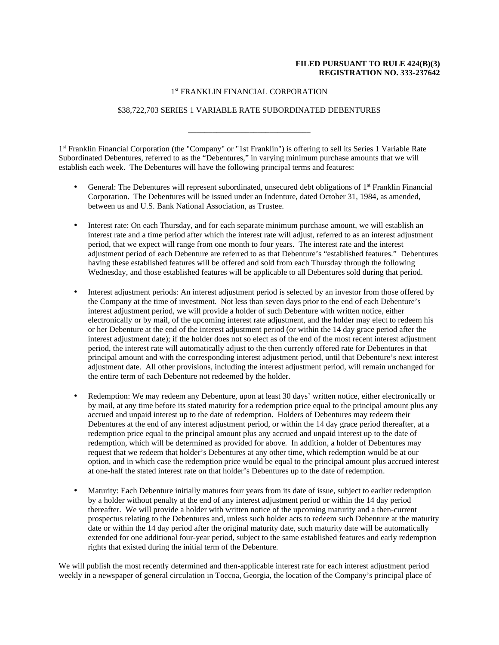# **FILED PURSUANT TO RULE 424(B)(3) REGISTRATION NO. 333-237642**

### 1 st FRANKLIN FINANCIAL CORPORATION

# \$38,722,703 SERIES 1 VARIABLE RATE SUBORDINATED DEBENTURES

**\_\_\_\_\_\_\_\_\_\_\_\_\_\_\_\_\_\_\_\_\_\_\_\_\_\_\_\_\_\_** 

1<sup>st</sup> Franklin Financial Corporation (the "Company" or "1st Franklin") is offering to sell its Series 1 Variable Rate Subordinated Debentures, referred to as the "Debentures," in varying minimum purchase amounts that we will establish each week. The Debentures will have the following principal terms and features:

- General: The Debentures will represent subordinated, unsecured debt obligations of 1<sup>st</sup> Franklin Financial Corporation. The Debentures will be issued under an Indenture, dated October 31, 1984, as amended, between us and U.S. Bank National Association, as Trustee.
- Interest rate: On each Thursday, and for each separate minimum purchase amount, we will establish an interest rate and a time period after which the interest rate will adjust, referred to as an interest adjustment period, that we expect will range from one month to four years. The interest rate and the interest adjustment period of each Debenture are referred to as that Debenture's "established features." Debentures having these established features will be offered and sold from each Thursday through the following Wednesday, and those established features will be applicable to all Debentures sold during that period.
- Interest adjustment periods: An interest adjustment period is selected by an investor from those offered by the Company at the time of investment. Not less than seven days prior to the end of each Debenture's interest adjustment period, we will provide a holder of such Debenture with written notice, either electronically or by mail, of the upcoming interest rate adjustment, and the holder may elect to redeem his or her Debenture at the end of the interest adjustment period (or within the 14 day grace period after the interest adjustment date); if the holder does not so elect as of the end of the most recent interest adjustment period, the interest rate will automatically adjust to the then currently offered rate for Debentures in that principal amount and with the corresponding interest adjustment period, until that Debenture's next interest adjustment date. All other provisions, including the interest adjustment period, will remain unchanged for the entire term of each Debenture not redeemed by the holder.
- Redemption: We may redeem any Debenture, upon at least 30 days' written notice, either electronically or by mail, at any time before its stated maturity for a redemption price equal to the principal amount plus any accrued and unpaid interest up to the date of redemption. Holders of Debentures may redeem their Debentures at the end of any interest adjustment period, or within the 14 day grace period thereafter, at a redemption price equal to the principal amount plus any accrued and unpaid interest up to the date of redemption, which will be determined as provided for above. In addition, a holder of Debentures may request that we redeem that holder's Debentures at any other time, which redemption would be at our option, and in which case the redemption price would be equal to the principal amount plus accrued interest at one-half the stated interest rate on that holder's Debentures up to the date of redemption.
- Maturity: Each Debenture initially matures four years from its date of issue, subject to earlier redemption by a holder without penalty at the end of any interest adjustment period or within the 14 day period thereafter. We will provide a holder with written notice of the upcoming maturity and a then-current prospectus relating to the Debentures and, unless such holder acts to redeem such Debenture at the maturity date or within the 14 day period after the original maturity date, such maturity date will be automatically extended for one additional four-year period, subject to the same established features and early redemption rights that existed during the initial term of the Debenture.

We will publish the most recently determined and then-applicable interest rate for each interest adjustment period weekly in a newspaper of general circulation in Toccoa, Georgia, the location of the Company's principal place of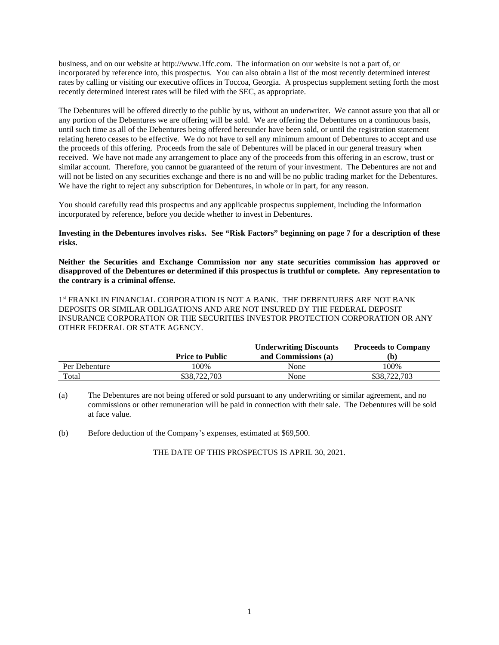business, and on our website at http://www.1ffc.com. The information on our website is not a part of, or incorporated by reference into, this prospectus. You can also obtain a list of the most recently determined interest rates by calling or visiting our executive offices in Toccoa, Georgia. A prospectus supplement setting forth the most recently determined interest rates will be filed with the SEC, as appropriate.

The Debentures will be offered directly to the public by us, without an underwriter. We cannot assure you that all or any portion of the Debentures we are offering will be sold. We are offering the Debentures on a continuous basis, until such time as all of the Debentures being offered hereunder have been sold, or until the registration statement relating hereto ceases to be effective. We do not have to sell any minimum amount of Debentures to accept and use the proceeds of this offering. Proceeds from the sale of Debentures will be placed in our general treasury when received. We have not made any arrangement to place any of the proceeds from this offering in an escrow, trust or similar account. Therefore, you cannot be guaranteed of the return of your investment. The Debentures are not and will not be listed on any securities exchange and there is no and will be no public trading market for the Debentures. We have the right to reject any subscription for Debentures, in whole or in part, for any reason.

You should carefully read this prospectus and any applicable prospectus supplement, including the information incorporated by reference, before you decide whether to invest in Debentures.

#### **Investing in the Debentures involves risks. See "Risk Factors" beginning on page 7 for a description of these risks.**

**Neither the Securities and Exchange Commission nor any state securities commission has approved or disapproved of the Debentures or determined if this prospectus is truthful or complete. Any representation to the contrary is a criminal offense.** 

1<sup>st</sup> FRANKLIN FINANCIAL CORPORATION IS NOT A BANK. THE DEBENTURES ARE NOT BANK DEPOSITS OR SIMILAR OBLIGATIONS AND ARE NOT INSURED BY THE FEDERAL DEPOSIT INSURANCE CORPORATION OR THE SECURITIES INVESTOR PROTECTION CORPORATION OR ANY OTHER FEDERAL OR STATE AGENCY.

|               | <b>Price to Public</b> | <b>Underwriting Discounts</b><br>and Commissions (a) | <b>Proceeds to Company</b> |
|---------------|------------------------|------------------------------------------------------|----------------------------|
| Per Debenture | 100%                   | None                                                 | 100%                       |
| Total         | \$38,722,703           | None                                                 | \$38,722,703               |

(a) The Debentures are not being offered or sold pursuant to any underwriting or similar agreement, and no commissions or other remuneration will be paid in connection with their sale. The Debentures will be sold at face value.

(b) Before deduction of the Company's expenses, estimated at \$69,500.

THE DATE OF THIS PROSPECTUS IS APRIL 30, 2021.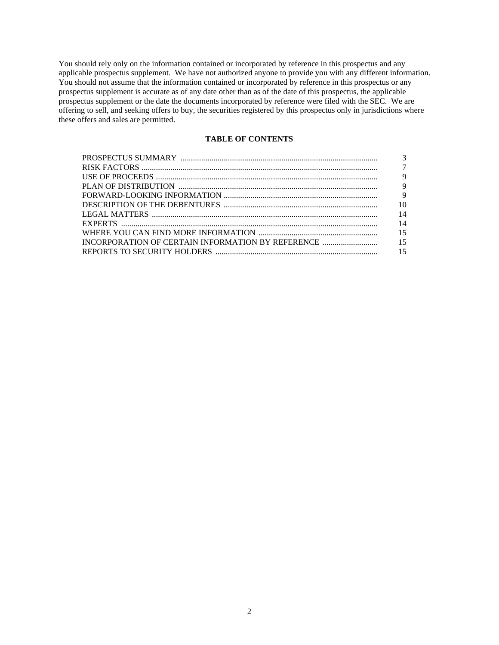You should rely only on the information contained or incorporated by reference in this prospectus and any applicable prospectus supplement. We have not authorized anyone to provide you with any different information. You should not assume that the information contained or incorporated by reference in this prospectus or any prospectus supplement is accurate as of any date other than as of the date of this prospectus, the applicable prospectus supplement or the date the documents incorporated by reference were filed with the SEC. We are offering to sell, and seeking offers to buy, the securities registered by this prospectus only in jurisdictions where these offers and sales are permitted.

# **TABLE OF CONTENTS**

| 10 |
|----|
| 14 |
| 14 |
|    |
|    |
|    |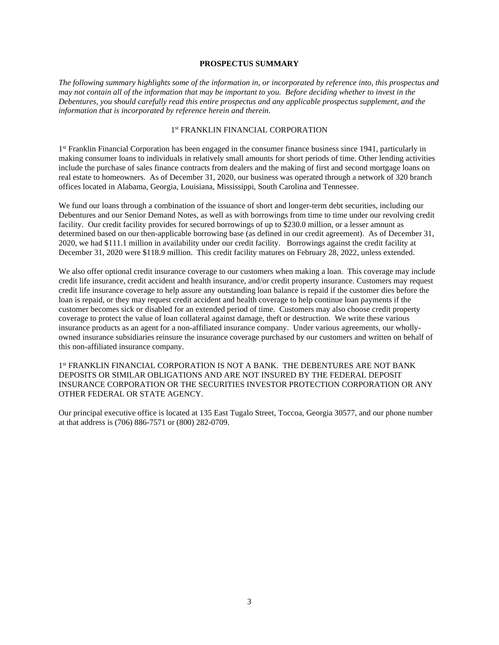#### **PROSPECTUS SUMMARY**

*The following summary highlights some of the information in, or incorporated by reference into, this prospectus and may not contain all of the information that may be important to you. Before deciding whether to invest in the Debentures, you should carefully read this entire prospectus and any applicable prospectus supplement, and the information that is incorporated by reference herein and therein.* 

#### 1 st FRANKLIN FINANCIAL CORPORATION

1<sup>st</sup> Franklin Financial Corporation has been engaged in the consumer finance business since 1941, particularly in making consumer loans to individuals in relatively small amounts for short periods of time. Other lending activities include the purchase of sales finance contracts from dealers and the making of first and second mortgage loans on real estate to homeowners. As of December 31, 2020, our business was operated through a network of 320 branch offices located in Alabama, Georgia, Louisiana, Mississippi, South Carolina and Tennessee.

We fund our loans through a combination of the issuance of short and longer-term debt securities, including our Debentures and our Senior Demand Notes, as well as with borrowings from time to time under our revolving credit facility. Our credit facility provides for secured borrowings of up to \$230.0 million, or a lesser amount as determined based on our then-applicable borrowing base (as defined in our credit agreement). As of December 31, 2020, we had \$111.1 million in availability under our credit facility. Borrowings against the credit facility at December 31, 2020 were \$118.9 million. This credit facility matures on February 28, 2022, unless extended.

We also offer optional credit insurance coverage to our customers when making a loan. This coverage may include credit life insurance, credit accident and health insurance, and/or credit property insurance. Customers may request credit life insurance coverage to help assure any outstanding loan balance is repaid if the customer dies before the loan is repaid, or they may request credit accident and health coverage to help continue loan payments if the customer becomes sick or disabled for an extended period of time. Customers may also choose credit property coverage to protect the value of loan collateral against damage, theft or destruction. We write these various insurance products as an agent for a non-affiliated insurance company. Under various agreements, our whollyowned insurance subsidiaries reinsure the insurance coverage purchased by our customers and written on behalf of this non-affiliated insurance company.

1<sup>st</sup> FRANKLIN FINANCIAL CORPORATION IS NOT A BANK. THE DEBENTURES ARE NOT BANK DEPOSITS OR SIMILAR OBLIGATIONS AND ARE NOT INSURED BY THE FEDERAL DEPOSIT INSURANCE CORPORATION OR THE SECURITIES INVESTOR PROTECTION CORPORATION OR ANY OTHER FEDERAL OR STATE AGENCY.

Our principal executive office is located at 135 East Tugalo Street, Toccoa, Georgia 30577, and our phone number at that address is (706) 886-7571 or (800) 282-0709.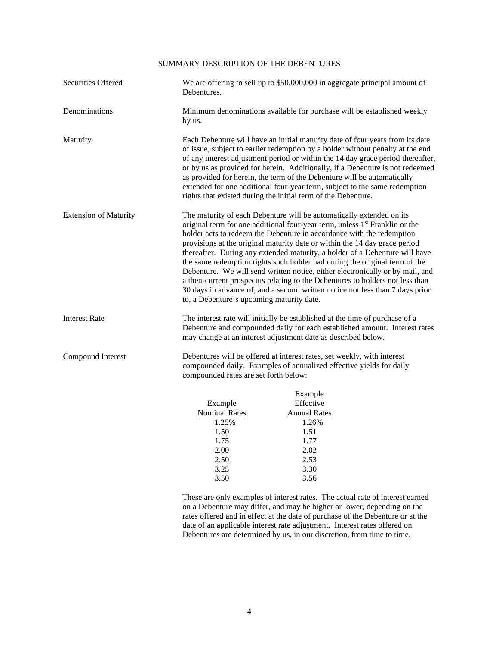# SUMMARY DESCRIPTION OF THE DEBENTURES

| Securities Offered           | We are offering to sell up to \$50,000,000 in aggregate principal amount of<br>Debentures.                                                                                                                                                                                                                                                                                                                                                                                                                                                                                                                                                                                                                                                                                          |                                                                                                      |  |  |  |
|------------------------------|-------------------------------------------------------------------------------------------------------------------------------------------------------------------------------------------------------------------------------------------------------------------------------------------------------------------------------------------------------------------------------------------------------------------------------------------------------------------------------------------------------------------------------------------------------------------------------------------------------------------------------------------------------------------------------------------------------------------------------------------------------------------------------------|------------------------------------------------------------------------------------------------------|--|--|--|
| Denominations                | Minimum denominations available for purchase will be established weekly<br>by us.                                                                                                                                                                                                                                                                                                                                                                                                                                                                                                                                                                                                                                                                                                   |                                                                                                      |  |  |  |
| Maturity                     | Each Debenture will have an initial maturity date of four years from its date<br>of issue, subject to earlier redemption by a holder without penalty at the end<br>of any interest adjustment period or within the 14 day grace period thereafter,<br>or by us as provided for herein. Additionally, if a Debenture is not redeemed<br>as provided for herein, the term of the Debenture will be automatically<br>extended for one additional four-year term, subject to the same redemption<br>rights that existed during the initial term of the Debenture.                                                                                                                                                                                                                       |                                                                                                      |  |  |  |
| <b>Extension of Maturity</b> | The maturity of each Debenture will be automatically extended on its<br>original term for one additional four-year term, unless 1 <sup>st</sup> Franklin or the<br>holder acts to redeem the Debenture in accordance with the redemption<br>provisions at the original maturity date or within the 14 day grace period<br>thereafter. During any extended maturity, a holder of a Debenture will have<br>the same redemption rights such holder had during the original term of the<br>Debenture. We will send written notice, either electronically or by mail, and<br>a then-current prospectus relating to the Debentures to holders not less than<br>30 days in advance of, and a second written notice not less than 7 days prior<br>to, a Debenture's upcoming maturity date. |                                                                                                      |  |  |  |
| <b>Interest Rate</b>         | The interest rate will initially be established at the time of purchase of a<br>Debenture and compounded daily for each established amount. Interest rates<br>may change at an interest adjustment date as described below.                                                                                                                                                                                                                                                                                                                                                                                                                                                                                                                                                         |                                                                                                      |  |  |  |
| Compound Interest            | Debentures will be offered at interest rates, set weekly, with interest<br>compounded daily. Examples of annualized effective yields for daily<br>compounded rates are set forth below:                                                                                                                                                                                                                                                                                                                                                                                                                                                                                                                                                                                             |                                                                                                      |  |  |  |
|                              | Example<br><b>Nominal Rates</b><br>1.25%<br>1.50<br>1.75<br>2.00<br>2.50<br>3.25<br>3.50                                                                                                                                                                                                                                                                                                                                                                                                                                                                                                                                                                                                                                                                                            | Example<br>Effective<br><b>Annual Rates</b><br>1.26%<br>1.51<br>1.77<br>2.02<br>2.53<br>3.30<br>3.56 |  |  |  |

 These are only examples of interest rates. The actual rate of interest earned on a Debenture may differ, and may be higher or lower, depending on the rates offered and in effect at the date of purchase of the Debenture or at the date of an applicable interest rate adjustment. Interest rates offered on Debentures are determined by us, in our discretion, from time to time.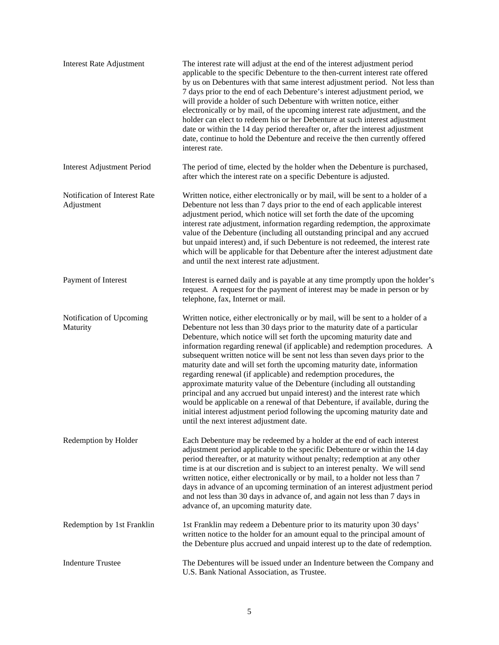| <b>Interest Rate Adjustment</b>             | The interest rate will adjust at the end of the interest adjustment period<br>applicable to the specific Debenture to the then-current interest rate offered<br>by us on Debentures with that same interest adjustment period. Not less than<br>7 days prior to the end of each Debenture's interest adjustment period, we<br>will provide a holder of such Debenture with written notice, either<br>electronically or by mail, of the upcoming interest rate adjustment, and the<br>holder can elect to redeem his or her Debenture at such interest adjustment<br>date or within the 14 day period thereafter or, after the interest adjustment<br>date, continue to hold the Debenture and receive the then currently offered<br>interest rate.                                                                                                                                                                      |
|---------------------------------------------|-------------------------------------------------------------------------------------------------------------------------------------------------------------------------------------------------------------------------------------------------------------------------------------------------------------------------------------------------------------------------------------------------------------------------------------------------------------------------------------------------------------------------------------------------------------------------------------------------------------------------------------------------------------------------------------------------------------------------------------------------------------------------------------------------------------------------------------------------------------------------------------------------------------------------|
| <b>Interest Adjustment Period</b>           | The period of time, elected by the holder when the Debenture is purchased,<br>after which the interest rate on a specific Debenture is adjusted.                                                                                                                                                                                                                                                                                                                                                                                                                                                                                                                                                                                                                                                                                                                                                                        |
| Notification of Interest Rate<br>Adjustment | Written notice, either electronically or by mail, will be sent to a holder of a<br>Debenture not less than 7 days prior to the end of each applicable interest<br>adjustment period, which notice will set forth the date of the upcoming<br>interest rate adjustment, information regarding redemption, the approximate<br>value of the Debenture (including all outstanding principal and any accrued<br>but unpaid interest) and, if such Debenture is not redeemed, the interest rate<br>which will be applicable for that Debenture after the interest adjustment date<br>and until the next interest rate adjustment.                                                                                                                                                                                                                                                                                             |
| Payment of Interest                         | Interest is earned daily and is payable at any time promptly upon the holder's<br>request. A request for the payment of interest may be made in person or by<br>telephone, fax, Internet or mail.                                                                                                                                                                                                                                                                                                                                                                                                                                                                                                                                                                                                                                                                                                                       |
| Notification of Upcoming<br>Maturity        | Written notice, either electronically or by mail, will be sent to a holder of a<br>Debenture not less than 30 days prior to the maturity date of a particular<br>Debenture, which notice will set forth the upcoming maturity date and<br>information regarding renewal (if applicable) and redemption procedures. A<br>subsequent written notice will be sent not less than seven days prior to the<br>maturity date and will set forth the upcoming maturity date, information<br>regarding renewal (if applicable) and redemption procedures, the<br>approximate maturity value of the Debenture (including all outstanding<br>principal and any accrued but unpaid interest) and the interest rate which<br>would be applicable on a renewal of that Debenture, if available, during the<br>initial interest adjustment period following the upcoming maturity date and<br>until the next interest adjustment date. |
| Redemption by Holder                        | Each Debenture may be redeemed by a holder at the end of each interest<br>adjustment period applicable to the specific Debenture or within the 14 day<br>period thereafter, or at maturity without penalty; redemption at any other<br>time is at our discretion and is subject to an interest penalty. We will send<br>written notice, either electronically or by mail, to a holder not less than 7<br>days in advance of an upcoming termination of an interest adjustment period<br>and not less than 30 days in advance of, and again not less than 7 days in<br>advance of, an upcoming maturity date.                                                                                                                                                                                                                                                                                                            |
| Redemption by 1st Franklin                  | 1st Franklin may redeem a Debenture prior to its maturity upon 30 days'<br>written notice to the holder for an amount equal to the principal amount of<br>the Debenture plus accrued and unpaid interest up to the date of redemption.                                                                                                                                                                                                                                                                                                                                                                                                                                                                                                                                                                                                                                                                                  |
| <b>Indenture Trustee</b>                    | The Debentures will be issued under an Indenture between the Company and<br>U.S. Bank National Association, as Trustee.                                                                                                                                                                                                                                                                                                                                                                                                                                                                                                                                                                                                                                                                                                                                                                                                 |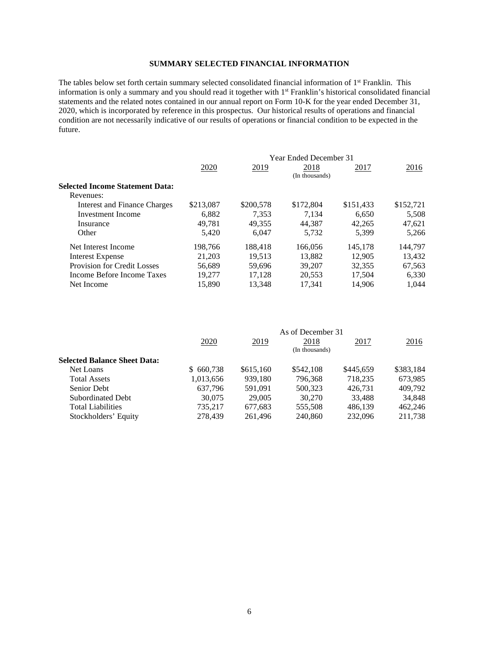# **SUMMARY SELECTED FINANCIAL INFORMATION**

The tables below set forth certain summary selected consolidated financial information of 1<sup>st</sup> Franklin. This information is only a summary and you should read it together with 1st Franklin's historical consolidated financial statements and the related notes contained in our annual report on Form 10-K for the year ended December 31, 2020, which is incorporated by reference in this prospectus. Our historical results of operations and financial condition are not necessarily indicative of our results of operations or financial condition to be expected in the future.

|                                 | <b>Year Ended December 31</b> |           |           |           |           |  |  |
|---------------------------------|-------------------------------|-----------|-----------|-----------|-----------|--|--|
|                                 | 2020                          | 2019      | 2018      | 2017      | 2016      |  |  |
|                                 | (In thousands)                |           |           |           |           |  |  |
| Selected Income Statement Data: |                               |           |           |           |           |  |  |
| Revenues:                       |                               |           |           |           |           |  |  |
| Interest and Finance Charges    | \$213,087                     | \$200,578 | \$172,804 | \$151,433 | \$152,721 |  |  |
| Investment Income               | 6.882                         | 7.353     | 7.134     | 6.650     | 5,508     |  |  |
| Insurance                       | 49.781                        | 49.355    | 44.387    | 42,265    | 47,621    |  |  |
| Other                           | 5.420                         | 6.047     | 5.732     | 5.399     | 5.266     |  |  |
| Net Interest Income             | 198.766                       | 188.418   | 166,056   | 145,178   | 144.797   |  |  |
| <b>Interest Expense</b>         | 21,203                        | 19,513    | 13.882    | 12.905    | 13.432    |  |  |
| Provision for Credit Losses     | 56,689                        | 59.696    | 39,207    | 32,355    | 67,563    |  |  |
| Income Before Income Taxes      | 19.277                        | 17.128    | 20.553    | 17.504    | 6.330     |  |  |
| Net Income                      | 15.890                        | 13.348    | 17.341    | 14.906    | 1.044     |  |  |
|                                 |                               |           |           |           |           |  |  |

|                                     | As of December 31 |           |           |             |           |  |
|-------------------------------------|-------------------|-----------|-----------|-------------|-----------|--|
|                                     | 2020              | 2019      | 2018      | <u>2017</u> | 2016      |  |
|                                     | (In thousands)    |           |           |             |           |  |
| <b>Selected Balance Sheet Data:</b> |                   |           |           |             |           |  |
| Net Loans                           | \$660,738         | \$615,160 | \$542,108 | \$445,659   | \$383,184 |  |
| <b>Total Assets</b>                 | 1,013,656         | 939,180   | 796,368   | 718,235     | 673,985   |  |
| Senior Debt                         | 637,796           | 591.091   | 500,323   | 426.731     | 409,792   |  |
| Subordinated Debt                   | 30,075            | 29,005    | 30,270    | 33,488      | 34,848    |  |
| Total Liabilities                   | 735.217           | 677,683   | 555,508   | 486.139     | 462,246   |  |
| Stockholders' Equity                | 278,439           | 261.496   | 240,860   | 232,096     | 211,738   |  |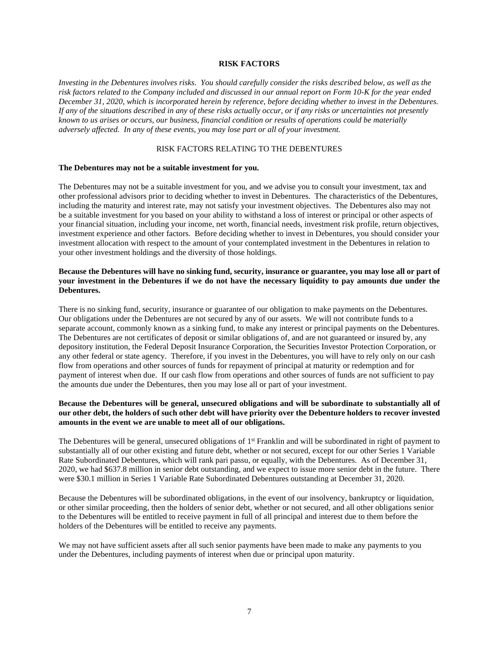#### **RISK FACTORS**

*Investing in the Debentures involves risks. You should carefully consider the risks described below, as well as the risk factors related to the Company included and discussed in our annual report on Form 10-K for the year ended December 31, 2020, which is incorporated herein by reference, before deciding whether to invest in the Debentures. If any of the situations described in any of these risks actually occur, or if any risks or uncertainties not presently known to us arises or occurs, our business, financial condition or results of operations could be materially adversely affected. In any of these events, you may lose part or all of your investment.* 

### RISK FACTORS RELATING TO THE DEBENTURES

#### **The Debentures may not be a suitable investment for you.**

The Debentures may not be a suitable investment for you, and we advise you to consult your investment, tax and other professional advisors prior to deciding whether to invest in Debentures. The characteristics of the Debentures, including the maturity and interest rate, may not satisfy your investment objectives. The Debentures also may not be a suitable investment for you based on your ability to withstand a loss of interest or principal or other aspects of your financial situation, including your income, net worth, financial needs, investment risk profile, return objectives, investment experience and other factors. Before deciding whether to invest in Debentures, you should consider your investment allocation with respect to the amount of your contemplated investment in the Debentures in relation to your other investment holdings and the diversity of those holdings.

## **Because the Debentures will have no sinking fund, security, insurance or guarantee, you may lose all or part of your investment in the Debentures if we do not have the necessary liquidity to pay amounts due under the Debentures.**

There is no sinking fund, security, insurance or guarantee of our obligation to make payments on the Debentures. Our obligations under the Debentures are not secured by any of our assets. We will not contribute funds to a separate account, commonly known as a sinking fund, to make any interest or principal payments on the Debentures. The Debentures are not certificates of deposit or similar obligations of, and are not guaranteed or insured by, any depository institution, the Federal Deposit Insurance Corporation, the Securities Investor Protection Corporation, or any other federal or state agency. Therefore, if you invest in the Debentures, you will have to rely only on our cash flow from operations and other sources of funds for repayment of principal at maturity or redemption and for payment of interest when due. If our cash flow from operations and other sources of funds are not sufficient to pay the amounts due under the Debentures, then you may lose all or part of your investment.

### **Because the Debentures will be general, unsecured obligations and will be subordinate to substantially all of our other debt, the holders of such other debt will have priority over the Debenture holders to recover invested amounts in the event we are unable to meet all of our obligations.**

The Debentures will be general, unsecured obligations of  $1<sup>st</sup>$  Franklin and will be subordinated in right of payment to substantially all of our other existing and future debt, whether or not secured, except for our other Series 1 Variable Rate Subordinated Debentures, which will rank pari passu, or equally, with the Debentures. As of December 31, 2020, we had \$637.8 million in senior debt outstanding, and we expect to issue more senior debt in the future. There were \$30.1 million in Series 1 Variable Rate Subordinated Debentures outstanding at December 31, 2020.

Because the Debentures will be subordinated obligations, in the event of our insolvency, bankruptcy or liquidation, or other similar proceeding, then the holders of senior debt, whether or not secured, and all other obligations senior to the Debentures will be entitled to receive payment in full of all principal and interest due to them before the holders of the Debentures will be entitled to receive any payments.

We may not have sufficient assets after all such senior payments have been made to make any payments to you under the Debentures, including payments of interest when due or principal upon maturity.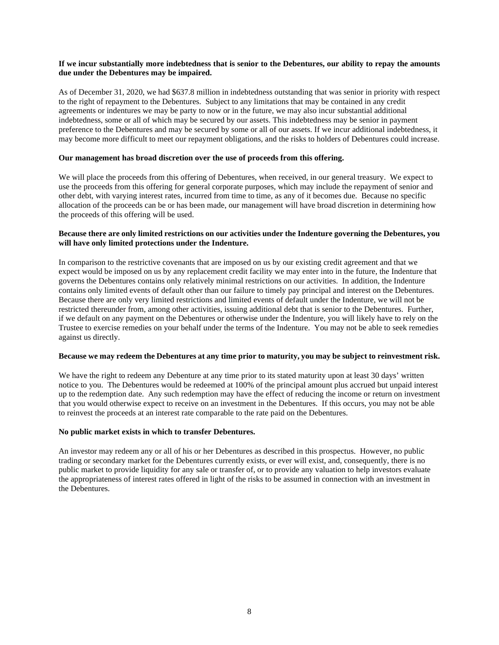### **If we incur substantially more indebtedness that is senior to the Debentures, our ability to repay the amounts due under the Debentures may be impaired.**

As of December 31, 2020, we had \$637.8 million in indebtedness outstanding that was senior in priority with respect to the right of repayment to the Debentures. Subject to any limitations that may be contained in any credit agreements or indentures we may be party to now or in the future, we may also incur substantial additional indebtedness, some or all of which may be secured by our assets. This indebtedness may be senior in payment preference to the Debentures and may be secured by some or all of our assets. If we incur additional indebtedness, it may become more difficult to meet our repayment obligations, and the risks to holders of Debentures could increase.

#### **Our management has broad discretion over the use of proceeds from this offering.**

We will place the proceeds from this offering of Debentures, when received, in our general treasury. We expect to use the proceeds from this offering for general corporate purposes, which may include the repayment of senior and other debt, with varying interest rates, incurred from time to time, as any of it becomes due. Because no specific allocation of the proceeds can be or has been made, our management will have broad discretion in determining how the proceeds of this offering will be used.

### **Because there are only limited restrictions on our activities under the Indenture governing the Debentures, you will have only limited protections under the Indenture.**

In comparison to the restrictive covenants that are imposed on us by our existing credit agreement and that we expect would be imposed on us by any replacement credit facility we may enter into in the future, the Indenture that governs the Debentures contains only relatively minimal restrictions on our activities. In addition, the Indenture contains only limited events of default other than our failure to timely pay principal and interest on the Debentures. Because there are only very limited restrictions and limited events of default under the Indenture, we will not be restricted thereunder from, among other activities, issuing additional debt that is senior to the Debentures. Further, if we default on any payment on the Debentures or otherwise under the Indenture, you will likely have to rely on the Trustee to exercise remedies on your behalf under the terms of the Indenture. You may not be able to seek remedies against us directly.

#### **Because we may redeem the Debentures at any time prior to maturity, you may be subject to reinvestment risk.**

We have the right to redeem any Debenture at any time prior to its stated maturity upon at least 30 days' written notice to you. The Debentures would be redeemed at 100% of the principal amount plus accrued but unpaid interest up to the redemption date. Any such redemption may have the effect of reducing the income or return on investment that you would otherwise expect to receive on an investment in the Debentures. If this occurs, you may not be able to reinvest the proceeds at an interest rate comparable to the rate paid on the Debentures.

#### **No public market exists in which to transfer Debentures.**

An investor may redeem any or all of his or her Debentures as described in this prospectus. However, no public trading or secondary market for the Debentures currently exists, or ever will exist, and, consequently, there is no public market to provide liquidity for any sale or transfer of, or to provide any valuation to help investors evaluate the appropriateness of interest rates offered in light of the risks to be assumed in connection with an investment in the Debentures.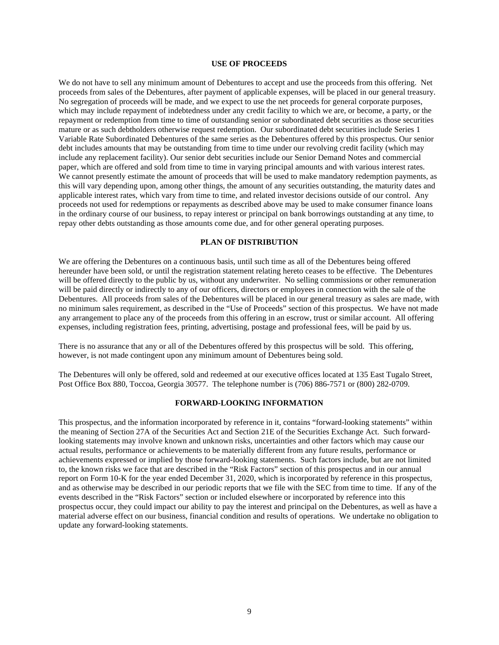#### **USE OF PROCEEDS**

We do not have to sell any minimum amount of Debentures to accept and use the proceeds from this offering. Net proceeds from sales of the Debentures, after payment of applicable expenses, will be placed in our general treasury. No segregation of proceeds will be made, and we expect to use the net proceeds for general corporate purposes, which may include repayment of indebtedness under any credit facility to which we are, or become, a party, or the repayment or redemption from time to time of outstanding senior or subordinated debt securities as those securities mature or as such debtholders otherwise request redemption. Our subordinated debt securities include Series 1 Variable Rate Subordinated Debentures of the same series as the Debentures offered by this prospectus. Our senior debt includes amounts that may be outstanding from time to time under our revolving credit facility (which may include any replacement facility). Our senior debt securities include our Senior Demand Notes and commercial paper, which are offered and sold from time to time in varying principal amounts and with various interest rates. We cannot presently estimate the amount of proceeds that will be used to make mandatory redemption payments, as this will vary depending upon, among other things, the amount of any securities outstanding, the maturity dates and applicable interest rates, which vary from time to time, and related investor decisions outside of our control. Any proceeds not used for redemptions or repayments as described above may be used to make consumer finance loans in the ordinary course of our business, to repay interest or principal on bank borrowings outstanding at any time, to repay other debts outstanding as those amounts come due, and for other general operating purposes.

# **PLAN OF DISTRIBUTION**

We are offering the Debentures on a continuous basis, until such time as all of the Debentures being offered hereunder have been sold, or until the registration statement relating hereto ceases to be effective. The Debentures will be offered directly to the public by us, without any underwriter. No selling commissions or other remuneration will be paid directly or indirectly to any of our officers, directors or employees in connection with the sale of the Debentures. All proceeds from sales of the Debentures will be placed in our general treasury as sales are made, with no minimum sales requirement, as described in the "Use of Proceeds" section of this prospectus. We have not made any arrangement to place any of the proceeds from this offering in an escrow, trust or similar account. All offering expenses, including registration fees, printing, advertising, postage and professional fees, will be paid by us.

There is no assurance that any or all of the Debentures offered by this prospectus will be sold. This offering, however, is not made contingent upon any minimum amount of Debentures being sold.

The Debentures will only be offered, sold and redeemed at our executive offices located at 135 East Tugalo Street, Post Office Box 880, Toccoa, Georgia 30577. The telephone number is (706) 886-7571 or (800) 282-0709.

#### **FORWARD-LOOKING INFORMATION**

This prospectus, and the information incorporated by reference in it, contains "forward-looking statements" within the meaning of Section 27A of the Securities Act and Section 21E of the Securities Exchange Act. Such forwardlooking statements may involve known and unknown risks, uncertainties and other factors which may cause our actual results, performance or achievements to be materially different from any future results, performance or achievements expressed or implied by those forward-looking statements. Such factors include, but are not limited to, the known risks we face that are described in the "Risk Factors" section of this prospectus and in our annual report on Form 10-K for the year ended December 31, 2020, which is incorporated by reference in this prospectus, and as otherwise may be described in our periodic reports that we file with the SEC from time to time. If any of the events described in the "Risk Factors" section or included elsewhere or incorporated by reference into this prospectus occur, they could impact our ability to pay the interest and principal on the Debentures, as well as have a material adverse effect on our business, financial condition and results of operations. We undertake no obligation to update any forward-looking statements.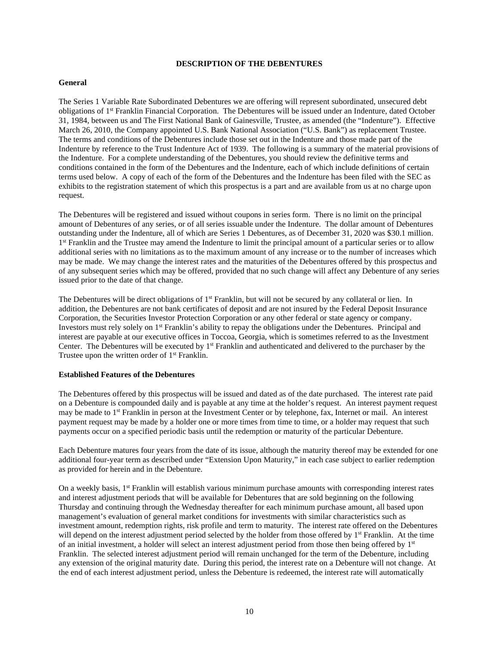#### **DESCRIPTION OF THE DEBENTURES**

#### **General**

The Series 1 Variable Rate Subordinated Debentures we are offering will represent subordinated, unsecured debt obligations of 1st Franklin Financial Corporation. The Debentures will be issued under an Indenture, dated October 31, 1984, between us and The First National Bank of Gainesville, Trustee, as amended (the "Indenture"). Effective March 26, 2010, the Company appointed U.S. Bank National Association ("U.S. Bank") as replacement Trustee. The terms and conditions of the Debentures include those set out in the Indenture and those made part of the Indenture by reference to the Trust Indenture Act of 1939. The following is a summary of the material provisions of the Indenture. For a complete understanding of the Debentures, you should review the definitive terms and conditions contained in the form of the Debentures and the Indenture, each of which include definitions of certain terms used below. A copy of each of the form of the Debentures and the Indenture has been filed with the SEC as exhibits to the registration statement of which this prospectus is a part and are available from us at no charge upon request.

The Debentures will be registered and issued without coupons in series form. There is no limit on the principal amount of Debentures of any series, or of all series issuable under the Indenture. The dollar amount of Debentures outstanding under the Indenture, all of which are Series 1 Debentures, as of December 31, 2020 was \$30.1 million. 1<sup>st</sup> Franklin and the Trustee may amend the Indenture to limit the principal amount of a particular series or to allow additional series with no limitations as to the maximum amount of any increase or to the number of increases which may be made. We may change the interest rates and the maturities of the Debentures offered by this prospectus and of any subsequent series which may be offered, provided that no such change will affect any Debenture of any series issued prior to the date of that change.

The Debentures will be direct obligations of  $1<sup>st</sup>$  Franklin, but will not be secured by any collateral or lien. In addition, the Debentures are not bank certificates of deposit and are not insured by the Federal Deposit Insurance Corporation, the Securities Investor Protection Corporation or any other federal or state agency or company. Investors must rely solely on 1st Franklin's ability to repay the obligations under the Debentures. Principal and interest are payable at our executive offices in Toccoa, Georgia, which is sometimes referred to as the Investment Center. The Debentures will be executed by 1<sup>st</sup> Franklin and authenticated and delivered to the purchaser by the Trustee upon the written order of 1<sup>st</sup> Franklin.

#### **Established Features of the Debentures**

The Debentures offered by this prospectus will be issued and dated as of the date purchased. The interest rate paid on a Debenture is compounded daily and is payable at any time at the holder's request. An interest payment request may be made to 1st Franklin in person at the Investment Center or by telephone, fax, Internet or mail. An interest payment request may be made by a holder one or more times from time to time, or a holder may request that such payments occur on a specified periodic basis until the redemption or maturity of the particular Debenture.

Each Debenture matures four years from the date of its issue, although the maturity thereof may be extended for one additional four-year term as described under "Extension Upon Maturity," in each case subject to earlier redemption as provided for herein and in the Debenture.

On a weekly basis, 1<sup>st</sup> Franklin will establish various minimum purchase amounts with corresponding interest rates and interest adjustment periods that will be available for Debentures that are sold beginning on the following Thursday and continuing through the Wednesday thereafter for each minimum purchase amount, all based upon management's evaluation of general market conditions for investments with similar characteristics such as investment amount, redemption rights, risk profile and term to maturity. The interest rate offered on the Debentures will depend on the interest adjustment period selected by the holder from those offered by 1<sup>st</sup> Franklin. At the time of an initial investment, a holder will select an interest adjustment period from those then being offered by 1<sup>st</sup> Franklin. The selected interest adjustment period will remain unchanged for the term of the Debenture, including any extension of the original maturity date. During this period, the interest rate on a Debenture will not change. At the end of each interest adjustment period, unless the Debenture is redeemed, the interest rate will automatically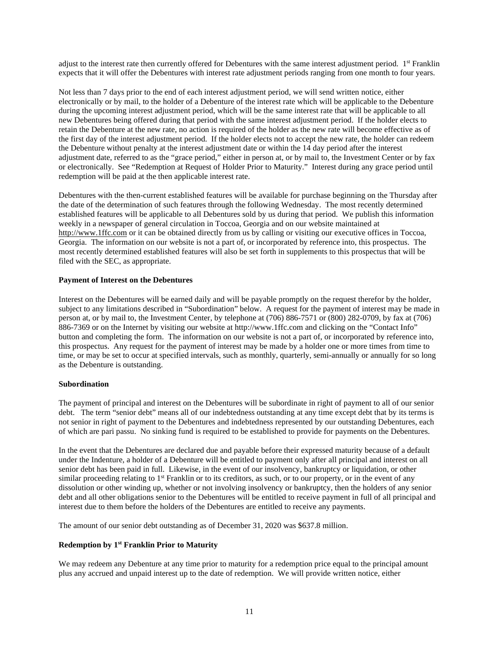adjust to the interest rate then currently offered for Debentures with the same interest adjustment period. 1<sup>st</sup> Franklin expects that it will offer the Debentures with interest rate adjustment periods ranging from one month to four years.

Not less than 7 days prior to the end of each interest adjustment period, we will send written notice, either electronically or by mail, to the holder of a Debenture of the interest rate which will be applicable to the Debenture during the upcoming interest adjustment period, which will be the same interest rate that will be applicable to all new Debentures being offered during that period with the same interest adjustment period. If the holder elects to retain the Debenture at the new rate, no action is required of the holder as the new rate will become effective as of the first day of the interest adjustment period. If the holder elects not to accept the new rate, the holder can redeem the Debenture without penalty at the interest adjustment date or within the 14 day period after the interest adjustment date, referred to as the "grace period," either in person at, or by mail to, the Investment Center or by fax or electronically. See "Redemption at Request of Holder Prior to Maturity." Interest during any grace period until redemption will be paid at the then applicable interest rate.

Debentures with the then-current established features will be available for purchase beginning on the Thursday after the date of the determination of such features through the following Wednesday. The most recently determined established features will be applicable to all Debentures sold by us during that period. We publish this information weekly in a newspaper of general circulation in Toccoa, Georgia and on our website maintained at http://www.1ffc.com or it can be obtained directly from us by calling or visiting our executive offices in Toccoa, Georgia. The information on our website is not a part of, or incorporated by reference into, this prospectus. The most recently determined established features will also be set forth in supplements to this prospectus that will be filed with the SEC, as appropriate.

### **Payment of Interest on the Debentures**

Interest on the Debentures will be earned daily and will be payable promptly on the request therefor by the holder, subject to any limitations described in "Subordination" below. A request for the payment of interest may be made in person at, or by mail to, the Investment Center, by telephone at (706) 886-7571 or (800) 282-0709, by fax at (706) 886-7369 or on the Internet by visiting our website at http://www.1ffc.com and clicking on the "Contact Info" button and completing the form. The information on our website is not a part of, or incorporated by reference into, this prospectus. Any request for the payment of interest may be made by a holder one or more times from time to time, or may be set to occur at specified intervals, such as monthly, quarterly, semi-annually or annually for so long as the Debenture is outstanding.

#### **Subordination**

The payment of principal and interest on the Debentures will be subordinate in right of payment to all of our senior debt. The term "senior debt" means all of our indebtedness outstanding at any time except debt that by its terms is not senior in right of payment to the Debentures and indebtedness represented by our outstanding Debentures, each of which are pari passu. No sinking fund is required to be established to provide for payments on the Debentures.

In the event that the Debentures are declared due and payable before their expressed maturity because of a default under the Indenture, a holder of a Debenture will be entitled to payment only after all principal and interest on all senior debt has been paid in full. Likewise, in the event of our insolvency, bankruptcy or liquidation, or other similar proceeding relating to 1<sup>st</sup> Franklin or to its creditors, as such, or to our property, or in the event of any dissolution or other winding up, whether or not involving insolvency or bankruptcy, then the holders of any senior debt and all other obligations senior to the Debentures will be entitled to receive payment in full of all principal and interest due to them before the holders of the Debentures are entitled to receive any payments.

The amount of our senior debt outstanding as of December 31, 2020 was \$637.8 million.

# **Redemption by 1st Franklin Prior to Maturity**

We may redeem any Debenture at any time prior to maturity for a redemption price equal to the principal amount plus any accrued and unpaid interest up to the date of redemption. We will provide written notice, either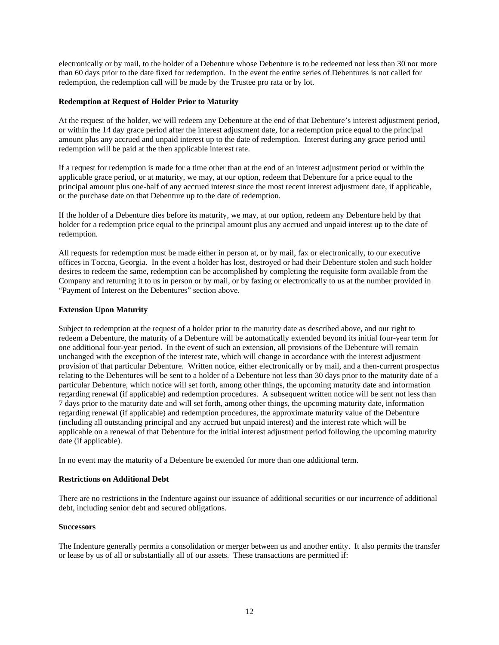electronically or by mail, to the holder of a Debenture whose Debenture is to be redeemed not less than 30 nor more than 60 days prior to the date fixed for redemption. In the event the entire series of Debentures is not called for redemption, the redemption call will be made by the Trustee pro rata or by lot.

### **Redemption at Request of Holder Prior to Maturity**

At the request of the holder, we will redeem any Debenture at the end of that Debenture's interest adjustment period, or within the 14 day grace period after the interest adjustment date, for a redemption price equal to the principal amount plus any accrued and unpaid interest up to the date of redemption. Interest during any grace period until redemption will be paid at the then applicable interest rate.

If a request for redemption is made for a time other than at the end of an interest adjustment period or within the applicable grace period, or at maturity, we may, at our option, redeem that Debenture for a price equal to the principal amount plus one-half of any accrued interest since the most recent interest adjustment date, if applicable, or the purchase date on that Debenture up to the date of redemption.

If the holder of a Debenture dies before its maturity, we may, at our option, redeem any Debenture held by that holder for a redemption price equal to the principal amount plus any accrued and unpaid interest up to the date of redemption.

All requests for redemption must be made either in person at, or by mail, fax or electronically, to our executive offices in Toccoa, Georgia. In the event a holder has lost, destroyed or had their Debenture stolen and such holder desires to redeem the same, redemption can be accomplished by completing the requisite form available from the Company and returning it to us in person or by mail, or by faxing or electronically to us at the number provided in "Payment of Interest on the Debentures" section above.

### **Extension Upon Maturity**

Subject to redemption at the request of a holder prior to the maturity date as described above, and our right to redeem a Debenture, the maturity of a Debenture will be automatically extended beyond its initial four-year term for one additional four-year period. In the event of such an extension, all provisions of the Debenture will remain unchanged with the exception of the interest rate, which will change in accordance with the interest adjustment provision of that particular Debenture. Written notice, either electronically or by mail, and a then-current prospectus relating to the Debentures will be sent to a holder of a Debenture not less than 30 days prior to the maturity date of a particular Debenture, which notice will set forth, among other things, the upcoming maturity date and information regarding renewal (if applicable) and redemption procedures. A subsequent written notice will be sent not less than 7 days prior to the maturity date and will set forth, among other things, the upcoming maturity date, information regarding renewal (if applicable) and redemption procedures, the approximate maturity value of the Debenture (including all outstanding principal and any accrued but unpaid interest) and the interest rate which will be applicable on a renewal of that Debenture for the initial interest adjustment period following the upcoming maturity date (if applicable).

In no event may the maturity of a Debenture be extended for more than one additional term.

#### **Restrictions on Additional Debt**

There are no restrictions in the Indenture against our issuance of additional securities or our incurrence of additional debt, including senior debt and secured obligations.

#### **Successors**

The Indenture generally permits a consolidation or merger between us and another entity. It also permits the transfer or lease by us of all or substantially all of our assets. These transactions are permitted if: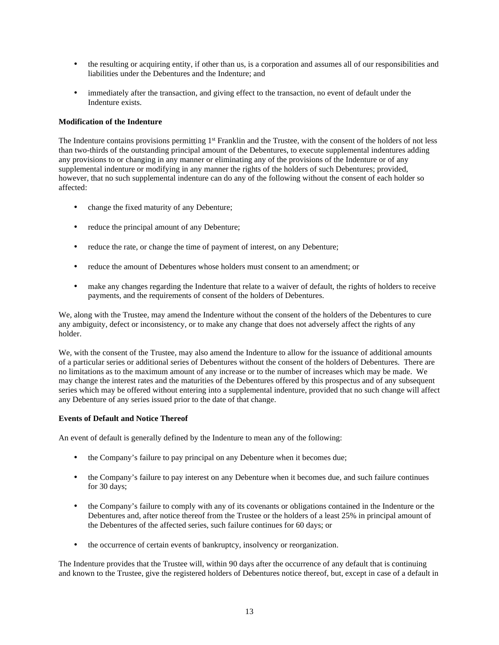- the resulting or acquiring entity, if other than us, is a corporation and assumes all of our responsibilities and liabilities under the Debentures and the Indenture; and
- immediately after the transaction, and giving effect to the transaction, no event of default under the Indenture exists.

#### **Modification of the Indenture**

The Indenture contains provisions permitting 1<sup>st</sup> Franklin and the Trustee, with the consent of the holders of not less than two-thirds of the outstanding principal amount of the Debentures, to execute supplemental indentures adding any provisions to or changing in any manner or eliminating any of the provisions of the Indenture or of any supplemental indenture or modifying in any manner the rights of the holders of such Debentures; provided, however, that no such supplemental indenture can do any of the following without the consent of each holder so affected:

- change the fixed maturity of any Debenture;
- reduce the principal amount of any Debenture;
- reduce the rate, or change the time of payment of interest, on any Debenture;
- reduce the amount of Debentures whose holders must consent to an amendment: or
- make any changes regarding the Indenture that relate to a waiver of default, the rights of holders to receive payments, and the requirements of consent of the holders of Debentures.

We, along with the Trustee, may amend the Indenture without the consent of the holders of the Debentures to cure any ambiguity, defect or inconsistency, or to make any change that does not adversely affect the rights of any holder.

We, with the consent of the Trustee, may also amend the Indenture to allow for the issuance of additional amounts of a particular series or additional series of Debentures without the consent of the holders of Debentures. There are no limitations as to the maximum amount of any increase or to the number of increases which may be made. We may change the interest rates and the maturities of the Debentures offered by this prospectus and of any subsequent series which may be offered without entering into a supplemental indenture, provided that no such change will affect any Debenture of any series issued prior to the date of that change.

#### **Events of Default and Notice Thereof**

An event of default is generally defined by the Indenture to mean any of the following:

- the Company's failure to pay principal on any Debenture when it becomes due;
- the Company's failure to pay interest on any Debenture when it becomes due, and such failure continues for 30 days;
- the Company's failure to comply with any of its covenants or obligations contained in the Indenture or the Debentures and, after notice thereof from the Trustee or the holders of a least 25% in principal amount of the Debentures of the affected series, such failure continues for 60 days; or
- the occurrence of certain events of bankruptcy, insolvency or reorganization.

The Indenture provides that the Trustee will, within 90 days after the occurrence of any default that is continuing and known to the Trustee, give the registered holders of Debentures notice thereof, but, except in case of a default in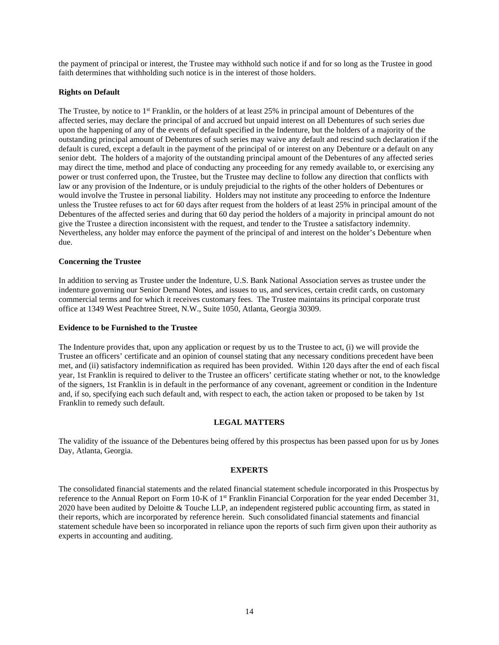the payment of principal or interest, the Trustee may withhold such notice if and for so long as the Trustee in good faith determines that withholding such notice is in the interest of those holders.

### **Rights on Default**

The Trustee, by notice to 1<sup>st</sup> Franklin, or the holders of at least 25% in principal amount of Debentures of the affected series, may declare the principal of and accrued but unpaid interest on all Debentures of such series due upon the happening of any of the events of default specified in the Indenture, but the holders of a majority of the outstanding principal amount of Debentures of such series may waive any default and rescind such declaration if the default is cured, except a default in the payment of the principal of or interest on any Debenture or a default on any senior debt. The holders of a majority of the outstanding principal amount of the Debentures of any affected series may direct the time, method and place of conducting any proceeding for any remedy available to, or exercising any power or trust conferred upon, the Trustee, but the Trustee may decline to follow any direction that conflicts with law or any provision of the Indenture, or is unduly prejudicial to the rights of the other holders of Debentures or would involve the Trustee in personal liability. Holders may not institute any proceeding to enforce the Indenture unless the Trustee refuses to act for 60 days after request from the holders of at least 25% in principal amount of the Debentures of the affected series and during that 60 day period the holders of a majority in principal amount do not give the Trustee a direction inconsistent with the request, and tender to the Trustee a satisfactory indemnity. Nevertheless, any holder may enforce the payment of the principal of and interest on the holder's Debenture when due.

#### **Concerning the Trustee**

In addition to serving as Trustee under the Indenture, U.S. Bank National Association serves as trustee under the indenture governing our Senior Demand Notes, and issues to us, and services, certain credit cards, on customary commercial terms and for which it receives customary fees. The Trustee maintains its principal corporate trust office at 1349 West Peachtree Street, N.W., Suite 1050, Atlanta, Georgia 30309.

#### **Evidence to be Furnished to the Trustee**

The Indenture provides that, upon any application or request by us to the Trustee to act, (i) we will provide the Trustee an officers' certificate and an opinion of counsel stating that any necessary conditions precedent have been met, and (ii) satisfactory indemnification as required has been provided. Within 120 days after the end of each fiscal year, 1st Franklin is required to deliver to the Trustee an officers' certificate stating whether or not, to the knowledge of the signers, 1st Franklin is in default in the performance of any covenant, agreement or condition in the Indenture and, if so, specifying each such default and, with respect to each, the action taken or proposed to be taken by 1st Franklin to remedy such default.

#### **LEGAL MATTERS**

The validity of the issuance of the Debentures being offered by this prospectus has been passed upon for us by Jones Day, Atlanta, Georgia.

#### **EXPERTS**

The consolidated financial statements and the related financial statement schedule incorporated in this Prospectus by reference to the Annual Report on Form 10-K of 1st Franklin Financial Corporation for the year ended December 31, 2020 have been audited by Deloitte & Touche LLP, an independent registered public accounting firm, as stated in their reports, which are incorporated by reference herein. Such consolidated financial statements and financial statement schedule have been so incorporated in reliance upon the reports of such firm given upon their authority as experts in accounting and auditing.